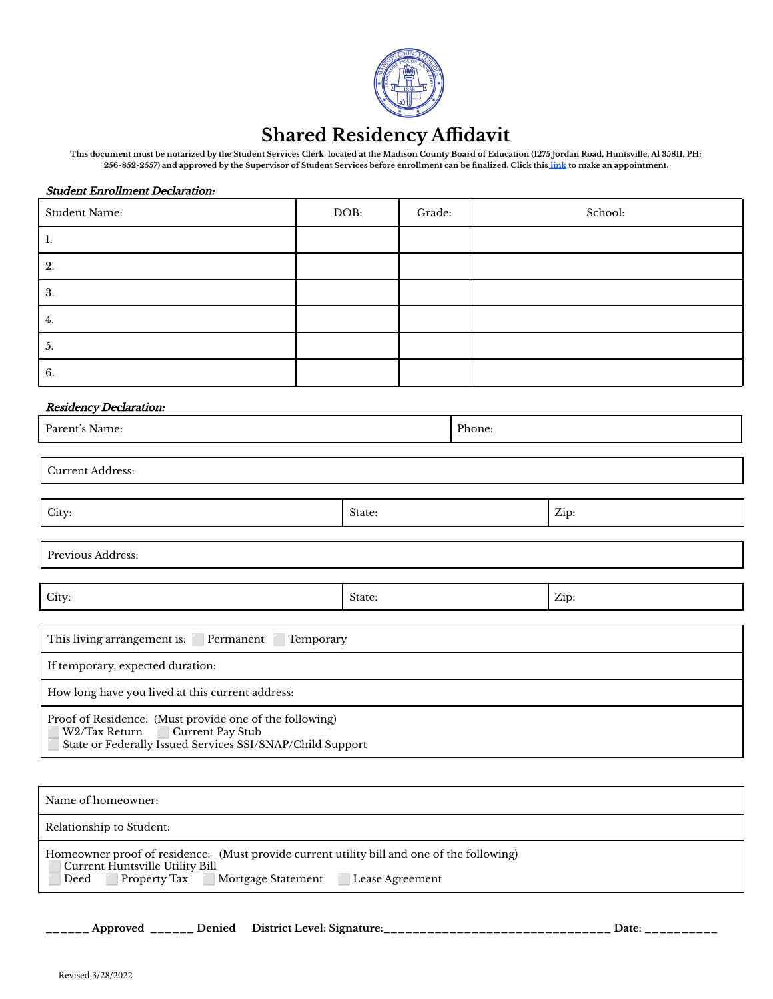

## **Shared Residency Affidavit**

**This document must be notarized by the Student Services Clerk located at the Madison County Board of Education (1275 Jordan Road, Huntsville, Al 35811, PH: 256-852-2557) and approved by the Supervisor of Student Services before enrollment can be finalized. Click this [link](https://calendly.com/acarter-85/15min) to make an appointment.**

#### Student Enrollment Declaration:

| <b>Student Name:</b> | DOB: | Grade: | School: |
|----------------------|------|--------|---------|
| Ι.                   |      |        |         |
| 2.                   |      |        |         |
| 3.                   |      |        |         |
| 4.                   |      |        |         |
| $\mathfrak{b}$ .     |      |        |         |
| 6.                   |      |        |         |

#### Residency Declaration:

| Residency Declaration:                                                                                                                                    |        |        |      |  |  |  |
|-----------------------------------------------------------------------------------------------------------------------------------------------------------|--------|--------|------|--|--|--|
| Parent's Name:                                                                                                                                            |        | Phone: |      |  |  |  |
|                                                                                                                                                           |        |        |      |  |  |  |
| <b>Current Address:</b>                                                                                                                                   |        |        |      |  |  |  |
|                                                                                                                                                           |        |        |      |  |  |  |
| City:                                                                                                                                                     | State: |        | Zip: |  |  |  |
|                                                                                                                                                           |        |        |      |  |  |  |
| Previous Address:                                                                                                                                         |        |        |      |  |  |  |
|                                                                                                                                                           |        |        |      |  |  |  |
| City:                                                                                                                                                     | State: |        | Zip: |  |  |  |
|                                                                                                                                                           |        |        |      |  |  |  |
| This living arrangement is: Permanent<br>Temporary                                                                                                        |        |        |      |  |  |  |
| If temporary, expected duration:                                                                                                                          |        |        |      |  |  |  |
| How long have you lived at this current address:                                                                                                          |        |        |      |  |  |  |
| Proof of Residence: (Must provide one of the following)<br>Current Pay Stub<br>W2/Tax Return<br>State or Federally Issued Services SSI/SNAP/Child Support |        |        |      |  |  |  |

| Name of homeowner:                                                                                                                                                                    |  |
|---------------------------------------------------------------------------------------------------------------------------------------------------------------------------------------|--|
| Relationship to Student:                                                                                                                                                              |  |
| Homeowner proof of residence: (Must provide current utility bill and one of the following)<br>Current Huntsville Utility Bill<br>Deed Property Tax Mortgage Statement Lease Agreement |  |

\_\_\_\_ Approved \_\_\_\_\_\_ Denied District Level: Signature:\_\_\_\_\_\_\_\_\_\_\_\_\_\_\_\_\_\_\_\_\_\_\_\_\_\_\_\_\_\_\_\_\_ Date: \_\_\_\_\_\_\_\_\_\_\_